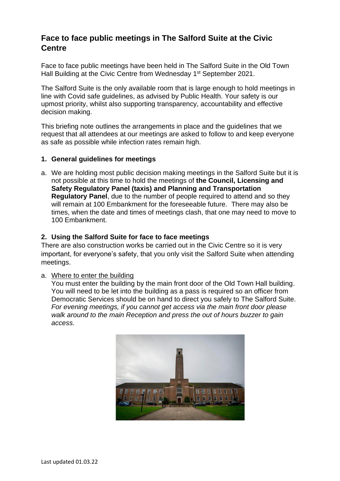# **Face to face public meetings in The Salford Suite at the Civic Centre**

Face to face public meetings have been held in The Salford Suite in the Old Town Hall Building at the Civic Centre from Wednesday 1<sup>st</sup> September 2021.

The Salford Suite is the only available room that is large enough to hold meetings in line with Covid safe guidelines, as advised by Public Health. Your safety is our upmost priority, whilst also supporting transparency, accountability and effective decision making.

This briefing note outlines the arrangements in place and the guidelines that we request that all attendees at our meetings are asked to follow to and keep everyone as safe as possible while infection rates remain high.

#### **1. General guidelines for meetings**

a. We are holding most public decision making meetings in the Salford Suite but it is not possible at this time to hold the meetings of **the Council, Licensing and Safety Regulatory Panel (taxis) and Planning and Transportation Regulatory Panel**, due to the number of people required to attend and so they will remain at 100 Embankment for the foreseeable future. There may also be times, when the date and times of meetings clash, that one may need to move to 100 Embankment.

### **2. Using the Salford Suite for face to face meetings**

There are also construction works be carried out in the Civic Centre so it is very important, for everyone's safety, that you only visit the Salford Suite when attending meetings.

#### a. Where to enter the building

You must enter the building by the main front door of the Old Town Hall building. You will need to be let into the building as a pass is required so an officer from Democratic Services should be on hand to direct you safely to The Salford Suite. *For evening meetings, if you cannot get access via the main front door please walk around to the main Reception and press the out of hours buzzer to gain access.* 

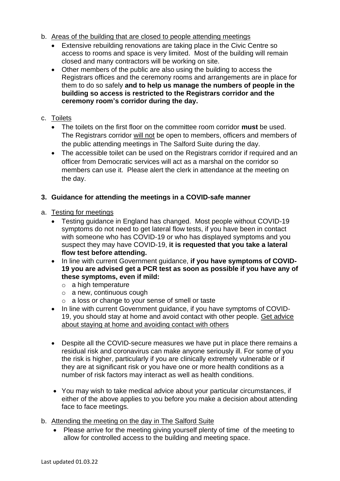- b. Areas of the building that are closed to people attending meetings
	- Extensive rebuilding renovations are taking place in the Civic Centre so access to rooms and space is very limited. Most of the building will remain closed and many contractors will be working on site.
	- Other members of the public are also using the building to access the Registrars offices and the ceremony rooms and arrangements are in place for them to do so safely **and to help us manage the numbers of people in the building so access is restricted to the Registrars corridor and the ceremony room's corridor during the day.**

### c. Toilets

- The toilets on the first floor on the committee room corridor **must** be used. The Registrars corridor will not be open to members, officers and members of the public attending meetings in The Salford Suite during the day.
- The accessible toilet can be used on the Registrars corridor if required and an officer from Democratic services will act as a marshal on the corridor so members can use it. Please alert the clerk in attendance at the meeting on the day.

# **3. Guidance for attending the meetings in a COVID-safe manner**

# a. Testing for meetings

- Testing guidance in England has changed. Most people without COVID-19 symptoms do not need to get lateral flow tests, if you have been in contact with someone who has COVID-19 or who has displayed symptoms and you suspect they may have COVID-19, **it is requested that you take a lateral flow test before attending.**
- In line with current Government guidance, **if you have symptoms of COVID-19 you are advised get a PCR test as soon as possible if you have any of these symptoms, even if mild:**
	- o a high temperature
	- o a new, continuous cough
	- o a loss or change to your sense of smell or taste
- In line with current Government guidance, if you have symptoms of COVID-19, you should stay at home and avoid contact with other people. [Get advice](https://www.nhs.uk/conditions/coronavirus-covid-19/self-isolation-and-treatment/when-to-self-isolate-and-what-to-do/)  [about staying at home and avoiding contact with others](https://www.nhs.uk/conditions/coronavirus-covid-19/self-isolation-and-treatment/when-to-self-isolate-and-what-to-do/)
- Despite all the COVID-secure measures we have put in place there remains a residual risk and coronavirus can make anyone seriously ill. For some of you the risk is higher, particularly if you are clinically extremely vulnerable or if they are at significant risk or you have one or more health conditions as a number of risk factors may interact as well as health conditions.
- You may wish to take medical advice about your particular circumstances, if either of the above applies to you before you make a decision about attending face to face meetings.
- b. Attending the meeting on the day in The Salford Suite
	- Please arrive for the meeting giving yourself plenty of time of the meeting to allow for controlled access to the building and meeting space.